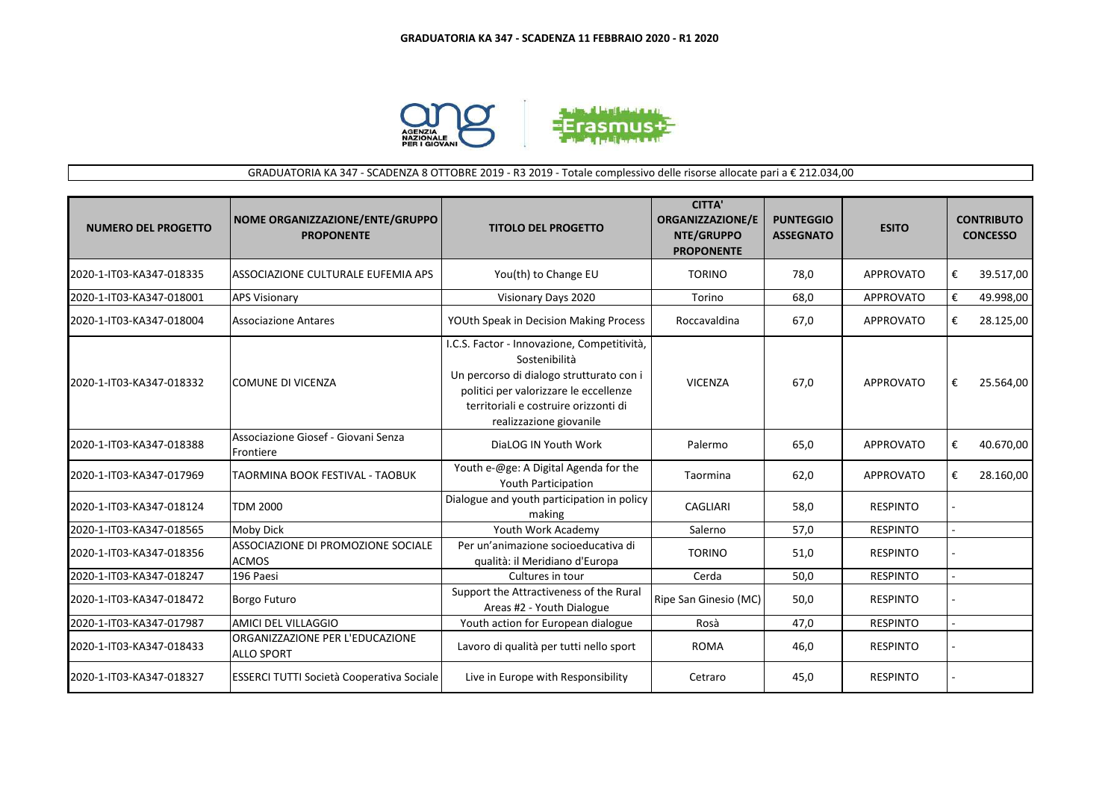

## GRADUATORIA KA 347 - SCADENZA 8 OTTOBRE 2019 - R3 2019 - Totale complessivo delle risorse allocate pari a € 212.034,00

| <b>NUMERO DEL PROGETTO</b> | NOME ORGANIZZAZIONE/ENTE/GRUPPO<br><b>PROPONENTE</b> | <b>TITOLO DEL PROGETTO</b>                                                                                                                                                                                             | <b>CITTA'</b><br><b>ORGANIZZAZIONE/E</b><br>NTE/GRUPPO<br><b>PROPONENTE</b> | <b>PUNTEGGIO</b><br><b>ASSEGNATO</b> | <b>ESITO</b>     | <b>CONTRIBUTO</b><br><b>CONCESSO</b> |           |
|----------------------------|------------------------------------------------------|------------------------------------------------------------------------------------------------------------------------------------------------------------------------------------------------------------------------|-----------------------------------------------------------------------------|--------------------------------------|------------------|--------------------------------------|-----------|
| 2020-1-IT03-KA347-018335   | ASSOCIAZIONE CULTURALE EUFEMIA APS                   | You(th) to Change EU                                                                                                                                                                                                   | <b>TORINO</b>                                                               | 78,0                                 | <b>APPROVATO</b> | €                                    | 39.517,00 |
| 2020-1-IT03-KA347-018001   | <b>APS Visionary</b>                                 | Visionary Days 2020                                                                                                                                                                                                    | Torino                                                                      | 68,0                                 | <b>APPROVATO</b> | €                                    | 49.998,00 |
| 2020-1-IT03-KA347-018004   | <b>Associazione Antares</b>                          | YOUth Speak in Decision Making Process                                                                                                                                                                                 | Roccavaldina                                                                | 67,0                                 | APPROVATO        | €                                    | 28.125,00 |
| 2020-1-IT03-KA347-018332   | <b>COMUNE DI VICENZA</b>                             | I.C.S. Factor - Innovazione, Competitività,<br>Sostenibilità<br>Un percorso di dialogo strutturato con i<br>politici per valorizzare le eccellenze<br>territoriali e costruire orizzonti di<br>realizzazione giovanile | <b>VICENZA</b>                                                              | 67,0                                 | <b>APPROVATO</b> | €                                    | 25.564,00 |
| 2020-1-IT03-KA347-018388   | Associazione Giosef - Giovani Senza<br>Frontiere     | DiaLOG IN Youth Work                                                                                                                                                                                                   | Palermo                                                                     | 65,0                                 | <b>APPROVATO</b> | €                                    | 40.670,00 |
| 2020-1-IT03-KA347-017969   | TAORMINA BOOK FESTIVAL - TAOBUK                      | Youth e-@ge: A Digital Agenda for the<br>Youth Participation                                                                                                                                                           | Taormina                                                                    | 62,0                                 | <b>APPROVATO</b> | €                                    | 28.160,00 |
| 2020-1-IT03-KA347-018124   | <b>TDM 2000</b>                                      | Dialogue and youth participation in policy<br>making                                                                                                                                                                   | <b>CAGLIARI</b>                                                             | 58,0                                 | <b>RESPINTO</b>  |                                      |           |
| 2020-1-IT03-KA347-018565   | <b>Moby Dick</b>                                     | Youth Work Academy                                                                                                                                                                                                     | Salerno                                                                     | 57,0                                 | <b>RESPINTO</b>  |                                      |           |
| 2020-1-IT03-KA347-018356   | ASSOCIAZIONE DI PROMOZIONE SOCIALE<br><b>ACMOS</b>   | Per un'animazione socioeducativa di<br>qualità: il Meridiano d'Europa                                                                                                                                                  | <b>TORINO</b>                                                               | 51,0                                 | <b>RESPINTO</b>  |                                      |           |
| 2020-1-IT03-KA347-018247   | 196 Paesi                                            | Cultures in tour                                                                                                                                                                                                       | Cerda                                                                       | 50,0                                 | <b>RESPINTO</b>  |                                      |           |
| 2020-1-IT03-KA347-018472   | <b>Borgo Futuro</b>                                  | Support the Attractiveness of the Rural<br>Areas #2 - Youth Dialogue                                                                                                                                                   | Ripe San Ginesio (MC)                                                       | 50,0                                 | <b>RESPINTO</b>  |                                      |           |
| 2020-1-IT03-KA347-017987   | AMICI DEL VILLAGGIO                                  | Youth action for European dialogue                                                                                                                                                                                     | Rosà                                                                        | 47,0                                 | <b>RESPINTO</b>  |                                      |           |
| 2020-1-IT03-KA347-018433   | ORGANIZZAZIONE PER L'EDUCAZIONE<br><b>ALLO SPORT</b> | Lavoro di qualità per tutti nello sport                                                                                                                                                                                | <b>ROMA</b>                                                                 | 46,0                                 | <b>RESPINTO</b>  |                                      |           |
| 2020-1-IT03-KA347-018327   | <b>ESSERCI TUTTI Società Cooperativa Sociale</b>     | Live in Europe with Responsibility                                                                                                                                                                                     | Cetraro                                                                     | 45,0                                 | <b>RESPINTO</b>  |                                      |           |